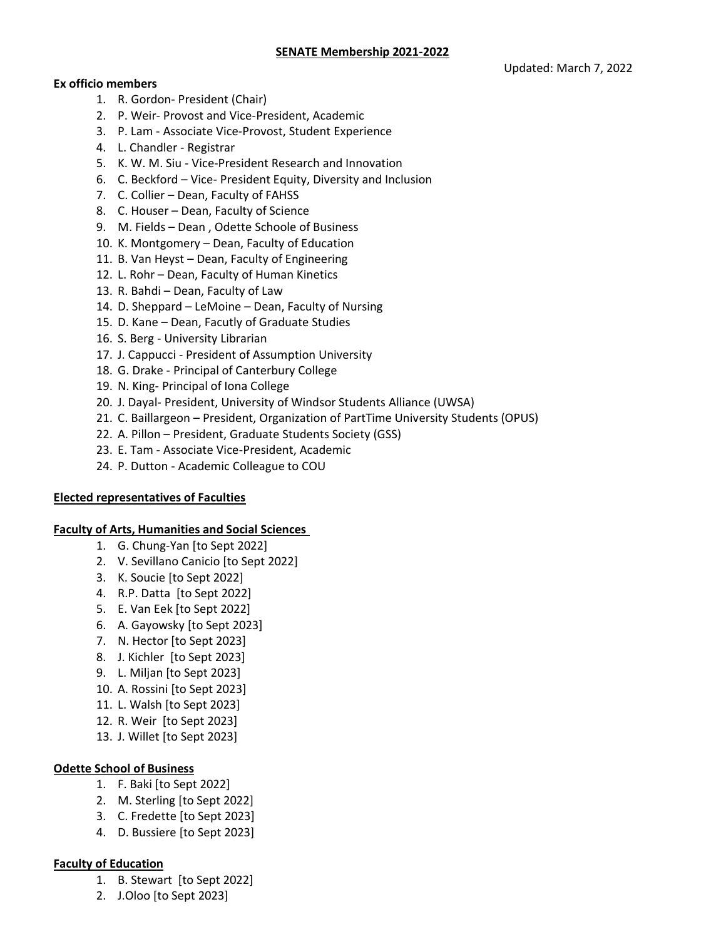#### **Ex officio members**

- 1. R. Gordon- President (Chair)
- 2. P. Weir- Provost and Vice-President, Academic
- 3. P. Lam Associate Vice-Provost, Student Experience
- 4. L. Chandler Registrar
- 5. K. W. M. Siu Vice-President Research and Innovation
- 6. C. Beckford Vice- President Equity, Diversity and Inclusion
- 7. C. Collier Dean, Faculty of FAHSS
- 8. C. Houser Dean, Faculty of Science
- 9. M. Fields Dean , Odette Schoole of Business
- 10. K. Montgomery Dean, Faculty of Education
- 11. B. Van Heyst Dean, Faculty of Engineering
- 12. L. Rohr Dean, Faculty of Human Kinetics
- 13. R. Bahdi Dean, Faculty of Law
- 14. D. Sheppard LeMoine Dean, Faculty of Nursing
- 15. D. Kane Dean, Facutly of Graduate Studies
- 16. S. Berg University Librarian
- 17. J. Cappucci President of Assumption University
- 18. G. Drake Principal of Canterbury College
- 19. N. King- Principal of Iona College
- 20. J. Dayal- President, University of Windsor Students Alliance (UWSA)
- 21. C. Baillargeon President, Organization of PartTime University Students (OPUS)
- 22. A. Pillon President, Graduate Students Society (GSS)
- 23. E. Tam Associate Vice-President, Academic
- 24. P. Dutton Academic Colleague to COU

#### **Elected representatives of Faculties**

#### **Faculty of Arts, Humanities and Social Sciences**

- 1. G. Chung-Yan [to Sept 2022]
- 2. V. Sevillano Canicio [to Sept 2022]
- 3. K. Soucie [to Sept 2022]
- 4. R.P. Datta [to Sept 2022]
- 5. E. Van Eek [to Sept 2022]
- 6. A. Gayowsky [to Sept 2023]
- 7. N. Hector [to Sept 2023]
- 8. J. Kichler [to Sept 2023]
- 9. L. Miljan [to Sept 2023]
- 10. A. Rossini [to Sept 2023]
- 11. L. Walsh [to Sept 2023]
- 12. R. Weir [to Sept 2023]
- 13. J. Willet [to Sept 2023]

#### **Odette School of Business**

- 1. F. Baki [to Sept 2022]
- 2. M. Sterling [to Sept 2022]
- 3. C. Fredette [to Sept 2023]
- 4. D. Bussiere [to Sept 2023]

#### **Faculty of Education**

- 1. B. Stewart [to Sept 2022]
- 2. J.Oloo [to Sept 2023]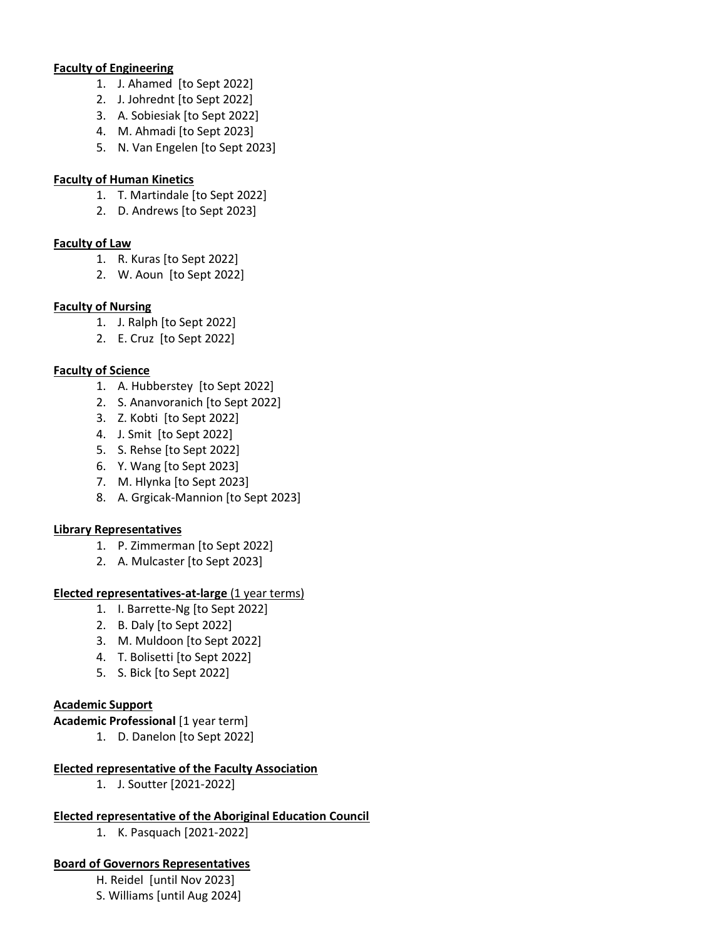#### **Faculty of Engineering**

- 1. J. Ahamed [to Sept 2022]
- 2. J. Johrednt [to Sept 2022]
- 3. A. Sobiesiak [to Sept 2022]
- 4. M. Ahmadi [to Sept 2023]
- 5. N. Van Engelen [to Sept 2023]

### **Faculty of Human Kinetics**

- 1. T. Martindale [to Sept 2022]
- 2. D. Andrews [to Sept 2023]

### **Faculty of Law**

- 1. R. Kuras [to Sept 2022]
- 2. W. Aoun [to Sept 2022]

# **Faculty of Nursing**

- 1. J. Ralph [to Sept 2022]
- 2. E. Cruz [to Sept 2022]

# **Faculty of Science**

- 1. A. Hubberstey [to Sept 2022]
- 2. S. Ananvoranich [to Sept 2022]
- 3. Z. Kobti [to Sept 2022]
- 4. J. Smit [to Sept 2022]
- 5. S. Rehse [to Sept 2022]
- 6. Y. Wang [to Sept 2023]
- 7. M. Hlynka [to Sept 2023]
- 8. A. Grgicak-Mannion [to Sept 2023]

# **Library Representatives**

- 1. P. Zimmerman [to Sept 2022]
- 2. A. Mulcaster [to Sept 2023]

# **Elected representatives-at-large** (1 year terms)

- 1. I. Barrette-Ng [to Sept 2022]
- 2. B. Daly [to Sept 2022]
- 3. M. Muldoon [to Sept 2022]
- 4. T. Bolisetti [to Sept 2022]
- 5. S. Bick [to Sept 2022]

# **Academic Support**

**Academic Professional** [1 year term]

1. D. Danelon [to Sept 2022]

# **Elected representative of the Faculty Association**

1. J. Soutter [2021-2022]

# **Elected representative of the Aboriginal Education Council**

1. K. Pasquach [2021-2022]

# **Board of Governors Representatives**

H. Reidel [until Nov 2023]

S. Williams [until Aug 2024]